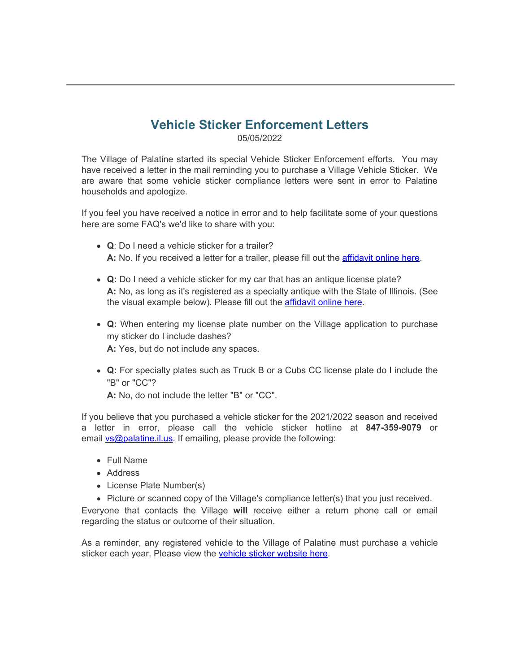## **Vehicle Sticker Enforcement Letters**

05/05/2022

The Village of Palatine started its special Vehicle Sticker Enforcement efforts. You may have received a letter in the mail reminding you to purchase a Village Vehicle Sticker. We are aware that some vehicle sticker compliance letters were sent in error to Palatine households and apologize.

If you feel you have received a notice in error and to help facilitate some of your questions here are some FAQ's we'd like to share with you:

- **Q**: Do I need a vehicle sticker for a trailer? **A:** No. If you received a letter for a trailer, please fill out the [affidavit online here](https://www.palatine.il.us/formcenter/finance-department-16/palatine-vehicle-ownership-affidavit-207).
- **Q:** Do I need a vehicle sticker for my car that has an antique license plate? **A:** No, as long as it's registered as a specialty antique with the State of Illinois. (See the visual example below). Please fill out the **affidavit online here**.
- **Q:** When entering my license plate number on the Village application to purchase my sticker do I include dashes? **A:** Yes, but do not include any spaces.
- **Q:** For specialty plates such as Truck B or a Cubs CC license plate do I include the "B" or "CC"?

**A:** No, do not include the letter "B" or "CC".

If you believe that you purchased a vehicle sticker for the 2021/2022 season and received a letter in error, please call the vehicle sticker hotline at **847-359-9079** or email **vs@palatine.il.us**. If emailing, please provide the following:

- Full Name
- Address
- License Plate Number(s)
- Picture or scanned copy of the Village's compliance letter(s) that you just received.

Everyone that contacts the Village **will** receive either a return phone call or email regarding the status or outcome of their situation.

As a reminder, any registered vehicle to the Village of Palatine must purchase a vehicle sticker each year. Please view the [vehicle sticker website here](https://www.palatine.il.us/623/Vehicle-Stickers).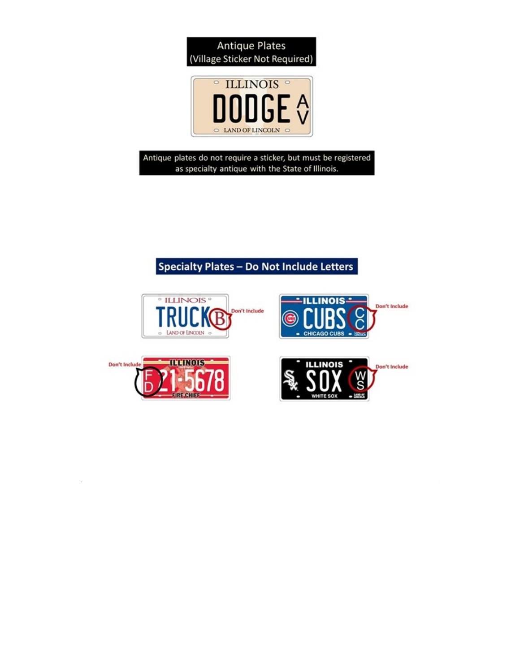



Antique plates do not require a sticker, but must be registered as specialty antique with the State of Illinois.

## Specialty Plates - Do Not Include Letters